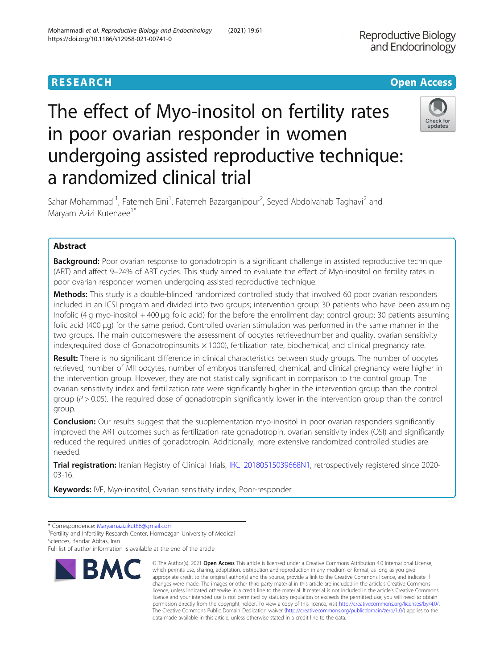**Reproductive Biology** 

# The effect of Myo-inositol on fertility rates in poor ovarian responder in women undergoing assisted reproductive technique: a randomized clinical trial



Sahar Mohammadi<sup>1</sup>, Fatemeh Eini<sup>1</sup>, Fatemeh Bazarganipour<sup>2</sup>, Seyed Abdolvahab Taghavi<sup>2</sup> and Maryam Azizi Kutenaee<sup>1\*</sup>

# Abstract

**Background:** Poor ovarian response to gonadotropin is a significant challenge in assisted reproductive technique (ART) and affect 9–24% of ART cycles. This study aimed to evaluate the effect of Myo-inositol on fertility rates in poor ovarian responder women undergoing assisted reproductive technique.

Methods: This study is a double-blinded randomized controlled study that involved 60 poor ovarian responders included in an ICSI program and divided into two groups; intervention group: 30 patients who have been assuming Inofolic (4 g myo-inositol + 400 μg folic acid) for the before the enrollment day; control group: 30 patients assuming folic acid (400 μg) for the same period. Controlled ovarian stimulation was performed in the same manner in the two groups. The main outcomeswere the assessment of oocytes retrievednumber and quality, ovarian sensitivity index, required dose of Gonadotropinsunits  $\times$  1000), fertilization rate, biochemical, and clinical pregnancy rate.

Result: There is no significant difference in clinical characteristics between study groups. The number of oocytes retrieved, number of MII oocytes, number of embryos transferred, chemical, and clinical pregnancy were higher in the intervention group. However, they are not statistically significant in comparison to the control group. The ovarian sensitivity index and fertilization rate were significantly higher in the intervention group than the control group ( $P > 0.05$ ). The required dose of gonadotropin significantly lower in the intervention group than the control group.

**Conclusion:** Our results suggest that the supplementation myo-inositol in poor ovarian responders significantly improved the ART outcomes such as fertilization rate gonadotropin, ovarian sensitivity index (OSI) and significantly reduced the required unities of gonadotropin. Additionally, more extensive randomized controlled studies are needed.

Trial registration: Iranian Registry of Clinical Trials, [IRCT20180515039668N1,](https://irct.ir/trial/43628) retrospectively registered since 2020-03-16.

Keywords: IVF, Myo-inositol, Ovarian sensitivity index, Poor-responder

<sup>1</sup>Fertility and Infertility Research Center, Hormozgan University of Medical Sciences, Bandar Abbas, Iran

Full list of author information is available at the end of the article



<sup>©</sup> The Author(s), 2021 **Open Access** This article is licensed under a Creative Commons Attribution 4.0 International License, which permits use, sharing, adaptation, distribution and reproduction in any medium or format, as long as you give appropriate credit to the original author(s) and the source, provide a link to the Creative Commons licence, and indicate if changes were made. The images or other third party material in this article are included in the article's Creative Commons licence, unless indicated otherwise in a credit line to the material. If material is not included in the article's Creative Commons licence and your intended use is not permitted by statutory regulation or exceeds the permitted use, you will need to obtain permission directly from the copyright holder. To view a copy of this licence, visit [http://creativecommons.org/licenses/by/4.0/.](http://creativecommons.org/licenses/by/4.0/) The Creative Commons Public Domain Dedication waiver [\(http://creativecommons.org/publicdomain/zero/1.0/](http://creativecommons.org/publicdomain/zero/1.0/)) applies to the data made available in this article, unless otherwise stated in a credit line to the data.

<sup>\*</sup> Correspondence: [Maryamazizikut86@gmail.com](mailto:Maryamazizikut86@gmail.com) <sup>1</sup>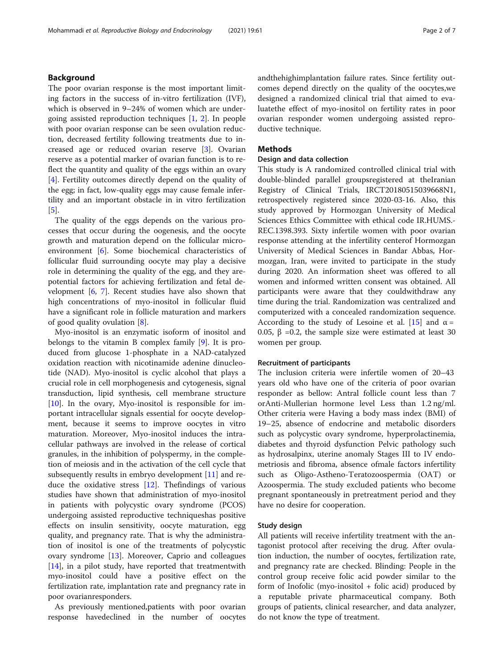The poor ovarian response is the most important limiting factors in the success of in-vitro fertilization (IVF), which is observed in 9–24% of women which are undergoing assisted reproduction techniques [\[1](#page-5-0), [2\]](#page-5-0). In people with poor ovarian response can be seen ovulation reduction, decreased fertility following treatments due to increased age or reduced ovarian reserve [\[3](#page-5-0)]. Ovarian reserve as a potential marker of ovarian function is to reflect the quantity and quality of the eggs within an ovary [[4\]](#page-5-0). Fertility outcomes directly depend on the quality of the egg; in fact, low-quality eggs may cause female infertility and an important obstacle in in vitro fertilization [[5\]](#page-5-0).

The quality of the eggs depends on the various processes that occur during the oogenesis, and the oocyte growth and maturation depend on the follicular microenvironment [\[6](#page-5-0)]. Some biochemical characteristics of follicular fluid surrounding oocyte may play a decisive role in determining the quality of the egg, and they arepotential factors for achieving fertilization and fetal development  $[6, 7]$  $[6, 7]$  $[6, 7]$  $[6, 7]$ . Recent studies have also shown that high concentrations of myo-inositol in follicular fluid have a significant role in follicle maturation and markers of good quality ovulation [\[8](#page-5-0)].

Myo-inositol is an enzymatic isoform of inositol and belongs to the vitamin B complex family [\[9](#page-6-0)]. It is produced from glucose 1-phosphate in a NAD-catalyzed oxidation reaction with nicotinamide adenine dinucleotide (NAD). Myo-inositol is cyclic alcohol that plays a crucial role in cell morphogenesis and cytogenesis, signal transduction, lipid synthesis, cell membrane structure  $[10]$  $[10]$ . In the ovary, Myo-inositol is responsible for important intracellular signals essential for oocyte development, because it seems to improve oocytes in vitro maturation. Moreover, Myo-inositol induces the intracellular pathways are involved in the release of cortical granules, in the inhibition of polyspermy, in the completion of meiosis and in the activation of the cell cycle that subsequently results in embryo development [\[11\]](#page-6-0) and reduce the oxidative stress  $[12]$ . The findings of various studies have shown that administration of myo-inositol in patients with polycystic ovary syndrome (PCOS) undergoing assisted reproductive techniqueshas positive effects on insulin sensitivity, oocyte maturation, egg quality, and pregnancy rate. That is why the administration of inositol is one of the treatments of polycystic ovary syndrome [\[13\]](#page-6-0). Moreover, Caprio and colleagues [[14\]](#page-6-0), in a pilot study, have reported that treatmentwith myo-inositol could have a positive effect on the fertilization rate, implantation rate and pregnancy rate in poor ovarianresponders.

As previously mentioned,patients with poor ovarian response havedeclined in the number of oocytes andthehighimplantation failure rates. Since fertility outcomes depend directly on the quality of the oocytes,we designed a randomized clinical trial that aimed to evaluatethe effect of myo-inositol on fertility rates in poor ovarian responder women undergoing assisted reproductive technique.

# **Methods**

# Design and data collection

This study is A randomized controlled clinical trial with double-blinded parallel groupsregistered at theIranian Registry of Clinical Trials, IRCT20180515039668N1, retrospectively registered since 2020-03-16. Also, this study approved by Hormozgan University of Medical Sciences Ethics Committee with ethical code IR.HUMS.- REC.1398.393. Sixty infertile women with poor ovarian response attending at the infertility centerof Hormozgan University of Medical Sciences in Bandar Abbas, Hormozgan, Iran, were invited to participate in the study during 2020. An information sheet was offered to all women and informed written consent was obtained. All participants were aware that they couldwithdraw any time during the trial. Randomization was centralized and computerized with a concealed randomization sequence. According to the study of Lesoine et al. [\[15](#page-6-0)] and  $\alpha$  = 0.05,  $β = 0.2$ , the sample size were estimated at least 30 women per group.

# Recruitment of participants

The inclusion criteria were infertile women of 20–43 years old who have one of the criteria of poor ovarian responder as bellow: Antral follicle count less than 7 orAnti-Mullerian hormone level Less than 1.2 ng/ml. Other criteria were Having a body mass index (BMI) of 19–25, absence of endocrine and metabolic disorders such as polycystic ovary syndrome, hyperprolactinemia, diabetes and thyroid dysfunction Pelvic pathology such as hydrosalpinx, uterine anomaly Stages III to IV endometriosis and fibroma, absence ofmale factors infertility such as Oligo-Astheno-Teratozoospermia (OAT) or Azoospermia. The study excluded patients who become pregnant spontaneously in pretreatment period and they have no desire for cooperation.

#### Study design

All patients will receive infertility treatment with the antagonist protocol after receiving the drug. After ovulation induction, the number of oocytes, fertilization rate, and pregnancy rate are checked. Blinding: People in the control group receive folic acid powder similar to the form of Inofolic (myo-inositol + folic acid) produced by a reputable private pharmaceutical company. Both groups of patients, clinical researcher, and data analyzer, do not know the type of treatment.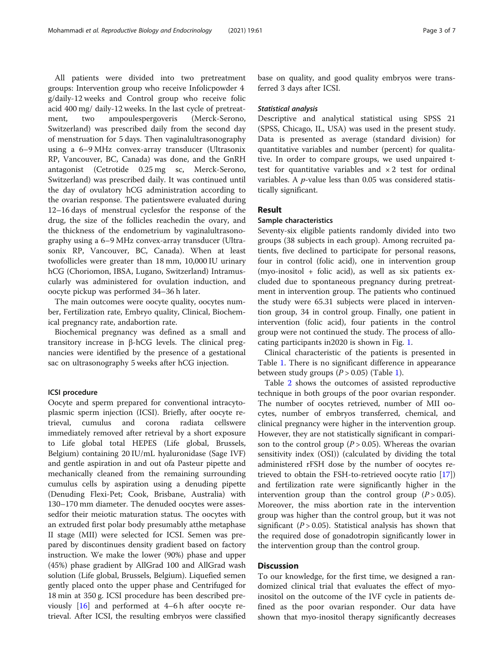All patients were divided into two pretreatment groups: Intervention group who receive Infolicpowder 4 g/daily-12 weeks and Control group who receive folic acid 400 mg/ daily-12 weeks. In the last cycle of pretreatment, two ampoulespergoveris (Merck-Serono, Switzerland) was prescribed daily from the second day of menstruation for 5 days. Then vaginalultrasonography using a 6–9 MHz convex-array transducer (Ultrasonix RP, Vancouver, BC, Canada) was done, and the GnRH antagonist (Cetrotide 0.25 mg sc, Merck-Serono, Switzerland) was prescribed daily. It was continued until the day of ovulatory hCG administration according to the ovarian response. The patientswere evaluated during 12–16 days of menstrual cyclesfor the response of the

drug, the size of the follicles reachedin the ovary, and the thickness of the endometrium by vaginalultrasonography using a 6–9 MHz convex-array transducer (Ultrasonix RP, Vancouver, BC, Canada). When at least twofollicles were greater than 18 mm, 10,000 IU urinary hCG (Choriomon, IBSA, Lugano, Switzerland) Intramuscularly was administered for ovulation induction, and oocyte pickup was performed 34–36 h later.

The main outcomes were oocyte quality, oocytes number, Fertilization rate, Embryo quality, Clinical, Biochemical pregnancy rate, andabortion rate.

Biochemical pregnancy was defined as a small and transitory increase in β-hCG levels. The clinical pregnancies were identified by the presence of a gestational sac on ultrasonography 5 weeks after hCG injection.

# ICSI procedure

Oocyte and sperm prepared for conventional intracytoplasmic sperm injection (ICSI). Briefly, after oocyte retrieval, cumulus and corona radiata cellswere immediately removed after retrieval by a short exposure to Life global total HEPES (Life global, Brussels, Belgium) containing 20 IU/mL hyaluronidase (Sage IVF) and gentle aspiration in and out ofa Pasteur pipette and mechanically cleaned from the remaining surrounding cumulus cells by aspiration using a denuding pipette (Denuding Flexi-Pet; Cook, Brisbane, Australia) with 130–170 mm diameter. The denuded oocytes were assessedfor their meiotic maturation status. The oocytes with an extruded first polar body presumably atthe metaphase II stage (MII) were selected for ICSI. Semen was prepared by discontinues density gradient based on factory instruction. We make the lower (90%) phase and upper (45%) phase gradient by AllGrad 100 and AllGrad wash solution (Life global, Brussels, Belgium). Liquefied semen gently placed onto the upper phase and Centrifuged for 18 min at 350 g. ICSI procedure has been described previously [[16](#page-6-0)] and performed at 4–6 h after oocyte retrieval. After ICSI, the resulting embryos were classified

base on quality, and good quality embryos were transferred 3 days after ICSI.

#### Statistical analysis

Descriptive and analytical statistical using SPSS 21 (SPSS, Chicago, IL, USA) was used in the present study. Data is presented as average (standard division) for quantitative variables and number (percent) for qualitative. In order to compare groups, we used unpaired ttest for quantitative variables and  $\times 2$  test for ordinal variables. A  $p$ -value less than 0.05 was considered statistically significant.

# Result

# Sample characteristics

Seventy-six eligible patients randomly divided into two groups (38 subjects in each group). Among recruited patients, five declined to participate for personal reasons, four in control (folic acid), one in intervention group (myo-inositol + folic acid), as well as six patients excluded due to spontaneous pregnancy during pretreatment in intervention group. The patients who continued the study were 65.31 subjects were placed in intervention group, 34 in control group. Finally, one patient in intervention (folic acid), four patients in the control group were not continued the study. The process of allocating participants in2020 is shown in Fig. [1.](#page-3-0)

Clinical characteristic of the patients is presented in Table [1.](#page-3-0) There is no significant difference in appearance between study groups  $(P > 0.05)$  (Table [1\)](#page-3-0).

Table [2](#page-4-0) shows the outcomes of assisted reproductive technique in both groups of the poor ovarian responder. The number of oocytes retrieved, number of MII oocytes, number of embryos transferred, chemical, and clinical pregnancy were higher in the intervention group. However, they are not statistically significant in comparison to the control group ( $P > 0.05$ ). Whereas the ovarian sensitivity index (OSI)) (calculated by dividing the total administered rFSH dose by the number of oocytes retrieved to obtain the FSH-to-retrieved oocyte ratio [\[17](#page-6-0)]) and fertilization rate were significantly higher in the intervention group than the control group  $(P > 0.05)$ . Moreover, the miss abortion rate in the intervention group was higher than the control group, but it was not significant ( $P > 0.05$ ). Statistical analysis has shown that the required dose of gonadotropin significantly lower in the intervention group than the control group.

# **Discussion**

To our knowledge, for the first time, we designed a randomized clinical trial that evaluates the effect of myoinositol on the outcome of the IVF cycle in patients defined as the poor ovarian responder. Our data have shown that myo-inositol therapy significantly decreases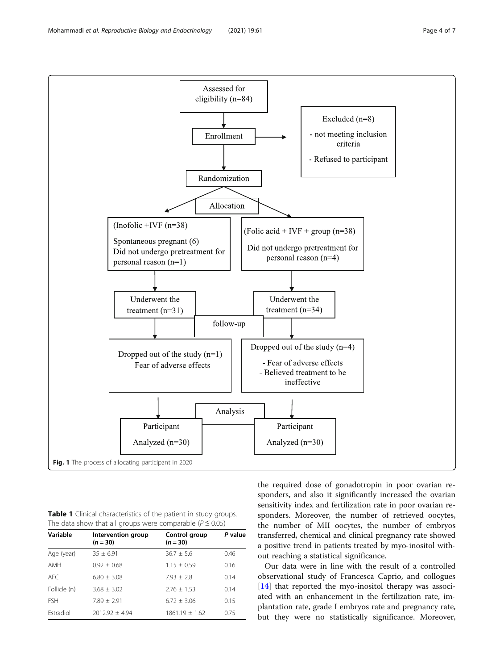<span id="page-3-0"></span>Mohammadi et al. Reproductive Biology and Endocrinology (2021) 19:61 Page 4 of 7



Table 1 Clinical characteristics of the patient in study groups. The data show that all groups were comparable ( $P \le 0.05$ )

| Variable     | Intervention group<br>$(n = 30)$ | Control group<br>$(n = 30)$ | P value |
|--------------|----------------------------------|-----------------------------|---------|
| Age (year)   | $35 + 6.91$                      | $36.7 + 5.6$                | 0.46    |
| AMH          | $0.92 + 0.68$                    | $1.15 + 0.59$               | 0.16    |
| AFC.         | $6.80 + 3.08$                    | $7.93 + 2.8$                | 0.14    |
| Follicle (n) | $3.68 + 3.02$                    | $2.76 + 1.53$               | 0.14    |
| <b>FSH</b>   | $7.89 + 2.91$                    | $6.72 + 3.06$               | 0.15    |
| Estradiol    | $2012.92 + 4.94$                 | $1861.19 + 1.62$            | 0.75    |

the required dose of gonadotropin in poor ovarian responders, and also it significantly increased the ovarian sensitivity index and fertilization rate in poor ovarian responders. Moreover, the number of retrieved oocytes, the number of MII oocytes, the number of embryos transferred, chemical and clinical pregnancy rate showed a positive trend in patients treated by myo-inositol without reaching a statistical significance.

Our data were in line with the result of a controlled observational study of Francesca Caprio, and collogues [[14\]](#page-6-0) that reported the myo-inositol therapy was associated with an enhancement in the fertilization rate, implantation rate, grade I embryos rate and pregnancy rate, but they were no statistically significance. Moreover,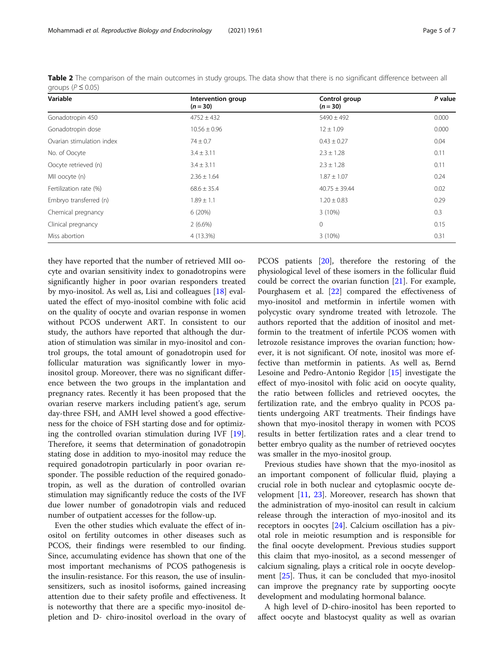they have reported that the number of retrieved MII oocyte and ovarian sensitivity index to gonadotropins were significantly higher in poor ovarian responders treated by myo-inositol. As well as, Lisi and colleagues [\[18\]](#page-6-0) evaluated the effect of myo-inositol combine with folic acid on the quality of oocyte and ovarian response in women without PCOS underwent ART. In consistent to our study, the authors have reported that although the duration of stimulation was similar in myo-inositol and control groups, the total amount of gonadotropin used for follicular maturation was significantly lower in myoinositol group. Moreover, there was no significant difference between the two groups in the implantation and pregnancy rates. Recently it has been proposed that the ovarian reserve markers including patient's age, serum day-three FSH, and AMH level showed a good effectiveness for the choice of FSH starting dose and for optimizing the controlled ovarian stimulation during IVF [\[19](#page-6-0)]. Therefore, it seems that determination of gonadotropin stating dose in addition to myo-inositol may reduce the required gonadotropin particularly in poor ovarian responder. The possible reduction of the required gonadotropin, as well as the duration of controlled ovarian stimulation may significantly reduce the costs of the IVF due lower number of gonadotropin vials and reduced number of outpatient accesses for the follow-up.

Even the other studies which evaluate the effect of inositol on fertility outcomes in other diseases such as PCOS, their findings were resembled to our finding. Since, accumulating evidence has shown that one of the most important mechanisms of PCOS pathogenesis is the insulin-resistance. For this reason, the use of insulinsensitizers, such as inositol isoforms, gained increasing attention due to their safety profile and effectiveness. It is noteworthy that there are a specific myo-inositol depletion and D- chiro-inositol overload in the ovary of PCOS patients [[20](#page-6-0)], therefore the restoring of the physiological level of these isomers in the follicular fluid could be correct the ovarian function [[21](#page-6-0)]. For example, Pourghasem et al. [\[22](#page-6-0)] compared the effectiveness of myo-inositol and metformin in infertile women with polycystic ovary syndrome treated with letrozole. The authors reported that the addition of inositol and metformin to the treatment of infertile PCOS women with letrozole resistance improves the ovarian function; however, it is not significant. Of note, inositol was more effective than metformin in patients. As well as, Bernd Lesoine and Pedro-Antonio Regidor [\[15\]](#page-6-0) investigate the effect of myo-inositol with folic acid on oocyte quality, the ratio between follicles and retrieved oocytes, the fertilization rate, and the embryo quality in PCOS patients undergoing ART treatments. Their findings have shown that myo-inositol therapy in women with PCOS results in better fertilization rates and a clear trend to better embryo quality as the number of retrieved oocytes was smaller in the myo-inositol group.

Previous studies have shown that the myo-inositol as an important component of follicular fluid, playing a crucial role in both nuclear and cytoplasmic oocyte development [[11,](#page-6-0) [23\]](#page-6-0). Moreover, research has shown that the administration of myo-inositol can result in calcium release through the interaction of myo-inositol and its receptors in oocytes [\[24](#page-6-0)]. Calcium oscillation has a pivotal role in meiotic resumption and is responsible for the final oocyte development. Previous studies support this claim that myo-inositol, as a second messenger of calcium signaling, plays a critical role in oocyte development [\[25\]](#page-6-0). Thus, it can be concluded that myo-inositol can improve the pregnancy rate by supporting oocyte development and modulating hormonal balance.

A high level of D-chiro-inositol has been reported to affect oocyte and blastocyst quality as well as ovarian

Table 2 The comparison of the main outcomes in study groups. The data show that there is no significant difference between all groups ( $P \le 0.05$ )

| Variable                  | Intervention group<br>$(n = 30)$ | Control group<br>$(n = 30)$ | P value |
|---------------------------|----------------------------------|-----------------------------|---------|
| Gonadotropin 450          | $4752 \pm 432$                   | $5490 \pm 492$              | 0.000   |
| Gonadotropin dose         | $10.56 \pm 0.96$                 | $12 \pm 1.09$               | 0.000   |
| Ovarian stimulation index | $74 \pm 0.7$                     | $0.43 \pm 0.27$             | 0.04    |
| No. of Oocyte             | $3.4 \pm 3.11$                   | $2.3 \pm 1.28$              | 0.11    |
| Oocyte retrieved (n)      | $3.4 \pm 3.11$                   | $2.3 \pm 1.28$              | 0.11    |
| MII oocyte (n)            | $2.36 \pm 1.64$                  | $1.87 \pm 1.07$             | 0.24    |
| Fertilization rate (%)    | $68.6 \pm 35.4$                  | $40.75 \pm 39.44$           | 0.02    |
| Embryo transferred (n)    | $1.89 \pm 1.1$                   | $1.20 \pm 0.83$             | 0.29    |
| Chemical pregnancy        | 6(20%)                           | 3(10%)                      | 0.3     |
| Clinical pregnancy        | $2(6.6\%)$                       | 0                           | 0.15    |
| Miss abortion             | 4 (13.3%)                        | 3(10%)                      | 0.31    |

<span id="page-4-0"></span>Mohammadi et al. Reproductive Biology and Endocrinology (2021) 19:61 Page 5 of 7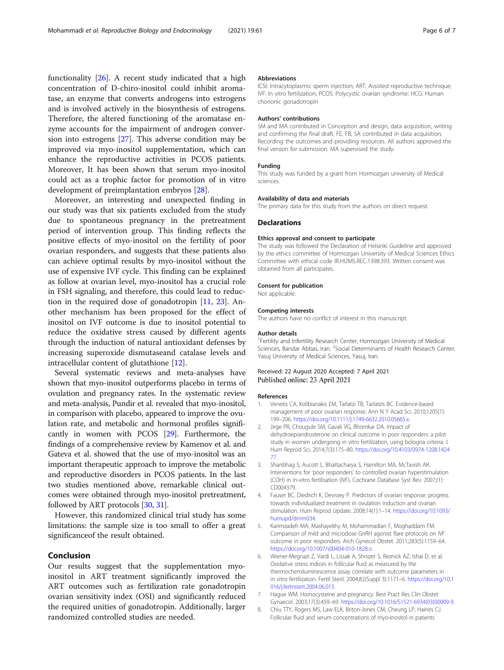<span id="page-5-0"></span>functionality [\[26](#page-6-0)]. A recent study indicated that a high concentration of D-chiro-inositol could inhibit aromatase, an enzyme that converts androgens into estrogens and is involved actively in the biosynthesis of estrogens. Therefore, the altered functioning of the aromatase enzyme accounts for the impairment of androgen conversion into estrogens [[27\]](#page-6-0). This adverse condition may be improved via myo-inositol supplementation, which can enhance the reproductive activities in PCOS patients. Moreover, It has been shown that serum myo-inositol could act as a trophic factor for promotion of in vitro development of preimplantation embryos [\[28](#page-6-0)].

Moreover, an interesting and unexpected finding in our study was that six patients excluded from the study due to spontaneous pregnancy in the pretreatment period of intervention group. This finding reflects the positive effects of myo-inositol on the fertility of poor ovarian responders, and suggests that these patients also can achieve optimal results by myo-inositol without the use of expensive IVF cycle. This finding can be explained as follow at ovarian level, myo-inositol has a crucial role in FSH signaling, and therefore, this could lead to reduction in the required dose of gonadotropin [[11,](#page-6-0) [23](#page-6-0)]. Another mechanism has been proposed for the effect of inositol on IVF outcome is due to inositol potential to reduce the oxidative stress caused by different agents through the induction of natural antioxidant defenses by increasing superoxide dismutaseand catalase levels and intracellular content of glutathione [[12\]](#page-6-0).

Several systematic reviews and meta-analyses have shown that myo-inositol outperforms placebo in terms of ovulation and pregnancy rates. In the systematic review and meta-analysis, Pundir et al. revealed that myo-inositol, in comparison with placebo, appeared to improve the ovulation rate, and metabolic and hormonal profiles significantly in women with PCOS [\[29](#page-6-0)]. Furthermore, the findings of a comprehensive review by Kamenov et al. and Gateva et al. showed that the use of myo-inositol was an important therapeutic approach to improve the metabolic and reproductive disorders in PCOS patients. In the last two studies mentioned above, remarkable clinical outcomes were obtained through myo-inositol pretreatment, followed by ART protocols [\[30,](#page-6-0) [31](#page-6-0)].

However, this randomized clinical trial study has some limitations: the sample size is too small to offer a great significanceof the result obtained.

# Conclusion

Our results suggest that the supplementation myoinositol in ART treatment significantly improved the ART outcomes such as fertilization rate gonadotropin ovarian sensitivity index (OSI) and significantly reduced the required unities of gonadotropin. Additionally, larger randomized controlled studies are needed.

#### Abbreviations

ICSI: Intracytoplasmic sperm injection; ART: Assisted reproductive technique; IVF: In vitro fertilization; PCOS: Polycystic ovarian syndrome; HCG: Human chorionic gonadotropin

# Authors' contributions

SM and MA contributed in Conception and design, data acquisition, writing and confirming the final draft. FE, FB, SA contributed in data acquisition, Recording the outcomes and providing resources. All authors approved the final version for submission. MA supervised the study.

#### Funding

This study was funded by a grant from Hormozgan university of Medical sciences.

#### Availability of data and materials

The primary data for this study from the authors on direct request.

# **Declarations**

#### Ethics approval and consent to participate

The study was followed the Declaration of Helsinki Guideline and approved by the ethics committee of Hormozgan University of Medical Sciences Ethics Committee with ethical code IR.HUMS.REC.1398.393. Written consent was obtained from all participates.

#### Consent for publication

Not applicable.

#### Competing interests

The authors have no conflict of interest in this manuscript.

#### Author details

<sup>1</sup> Fertility and Infertility Research Center, Hormozgan University of Medical Sciences, Bandar Abbas, Iran. <sup>2</sup>Social Determinants of Health Research Center Yasuj University of Medical Sciences, Yasuj, Iran.

# Received: 22 August 2020 Accepted: 7 April 2021 Published online: 23 April 2021

#### References

- 1. Venetis CA, Kolibianakis EM, Tarlatzi TB, Tarlatzis BC. Evidence-based management of poor ovarian response. Ann N Y Acad Sci. 2010;1205(1): 199–206. [https://doi.org/10.1111/j.1749-6632.2010.05665.x.](https://doi.org/10.1111/j.1749-6632.2010.05665.x)
- 2. Jirge PR, Chougule SM, Gavali VG, Bhomkar DA. Impact of dehydroepiandrosterone on clinical outcome in poor responders: a pilot study in women undergoing in vitro fertilization, using bologna criteria. J Hum Reprod Sci. 2014;7(3):175–80. [https://doi.org/10.4103/0974-1208.1424](https://doi.org/10.4103/0974-1208.142477) [77.](https://doi.org/10.4103/0974-1208.142477)
- 3. Shanbhag S, Aucott L, Bhattacharya S, Hamilton MA, McTavish AR. Interventions for 'poor responders' to controlled ovarian hyperstimulation (COH) in in-vitro fertilisation (IVF). Cochrane Database Syst Rev. 2007;(1): CD004379.
- 4. Fauser BC, Diedrich K, Devroey P. Predictors of ovarian response: progress towards individualized treatment in ovulation induction and ovarian stimulation. Hum Reprod Update. 2008;14(1):1–14. [https://doi.org/10.1093/](https://doi.org/10.1093/humupd/dmm034) [humupd/dmm034.](https://doi.org/10.1093/humupd/dmm034)
- 5. Karimzadeh MA, Mashayekhy M, Mohammadian F, Moghaddam FM. Comparison of mild and microdose GnRH agonist flare protocols on IVF outcome in poor responders. Arch Gynecol Obstet. 2011;283(5):1159–64. [https://doi.org/10.1007/s00404-010-1828-z.](https://doi.org/10.1007/s00404-010-1828-z)
- 6. Wiener-Megnazi Z, Vardi L, Lissak A, Shnizer S, Reznick AZ, Ishai D, et al. Oxidative stress indices in follicular fluid as measured by the thermochemiluminescence assay correlate with outcome parameters in in vitro fertilization. Fertil Steril. 2004;82(Suppl 3):1171–6. [https://doi.org/10.1](https://doi.org/10.1016/j.fertnstert.2004.06.013) [016/j.fertnstert.2004.06.013](https://doi.org/10.1016/j.fertnstert.2004.06.013).
- 7. Hague WM. Homocysteine and pregnancy. Best Pract Res Clin Obstet Gynaecol. 2003;17(3):459–69. [https://doi.org/10.1016/S1521-6934\(03\)00009-9](https://doi.org/10.1016/S1521-6934(03)00009-9).
- 8. Chiu TTY, Rogers MS, Law ELK, Briton-Jones CM, Cheung LP, Haines CJ. Follicular fluid and serum concentrations of myo-inositol in patients